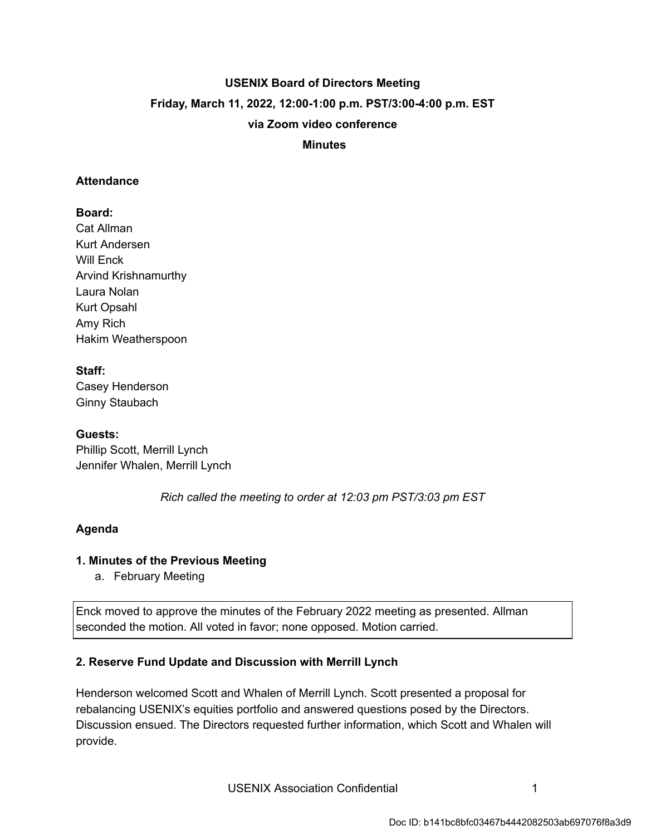# **USENIX Board of Directors Meeting Friday, March 11, 2022, 12:00-1:00 p.m. PST/3:00-4:00 p.m. EST via Zoom video conference**

 **Minutes** 

#### **Attendance**

### **Board:**

Cat Allman Kurt Andersen Will Enck Arvind Krishnamurthy Laura Nolan Kurt Opsahl Amy Rich Hakim Weatherspoon

### **Staff:**

Casey Henderson Ginny Staubach

### **Guests:**

Phillip Scott, Merrill Lynch Jennifer Whalen, Merrill Lynch

 *Rich called the meeting to order at 12:03 pm PST/3:03 pm EST* 

## **Agenda**

### **1. Minutes of the Previous Meeting**

a. February Meeting

Enck moved to approve the minutes of the February 2022 meeting as presented. Allman seconded the motion. All voted in favor; none opposed. Motion carried.

## **2. Reserve Fund Update and Discussion with Merrill Lynch**

Henderson welcomed Scott and Whalen of Merrill Lynch. Scott presented a proposal for rebalancing USENIX's equities portfolio and answered questions posed by the Directors. Discussion ensued. The Directors requested further information, which Scott and Whalen will provide.

USENIX Association Confidential **1** 1